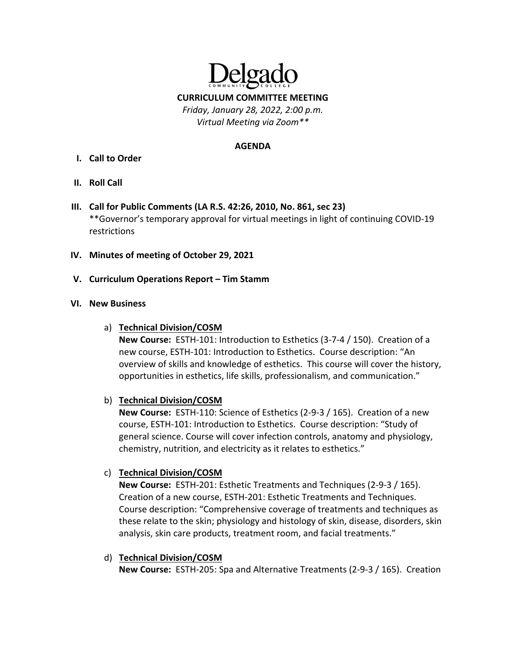

#### **AGENDA**

- **I. Call to Order**
- **II. Roll Call**
- **III. Call for Public Comments (LA R.S. 42:26, 2010, No. 861, sec 23)** \*\*Governor's temporary approval for virtual meetings in light of continuing COVID‐19 restrictions
- **IV. Minutes of meeting of October 29, 2021**
- **V. Curriculum Operations Report – Tim Stamm**

## **VI. New Business**

a) **Technical Division/COSM**

**New Course:** ESTH‐101: Introduction to Esthetics (3‐7‐4 / 150). Creation of a new course, ESTH‐101: Introduction to Esthetics. Course description: "An overview of skills and knowledge of esthetics. This course will cover the history, opportunities in esthetics, life skills, professionalism, and communication."

## b) **Technical Division/COSM**

**New Course:** ESTH‐110: Science of Esthetics (2‐9‐3 / 165). Creation of a new course, ESTH‐101: Introduction to Esthetics. Course description: "Study of general science. Course will cover infection controls, anatomy and physiology, chemistry, nutrition, and electricity as it relates to esthetics."

# c) **Technical Division/COSM**

**New Course:** ESTH‐201: Esthetic Treatments and Techniques (2‐9‐3 / 165). Creation of a new course, ESTH‐201: Esthetic Treatments and Techniques. Course description: "Comprehensive coverage of treatments and techniques as these relate to the skin; physiology and histology of skin, disease, disorders, skin analysis, skin care products, treatment room, and facial treatments."

d) **Technical Division/COSM New Course:** ESTH‐205: Spa and Alternative Treatments (2‐9‐3 / 165). Creation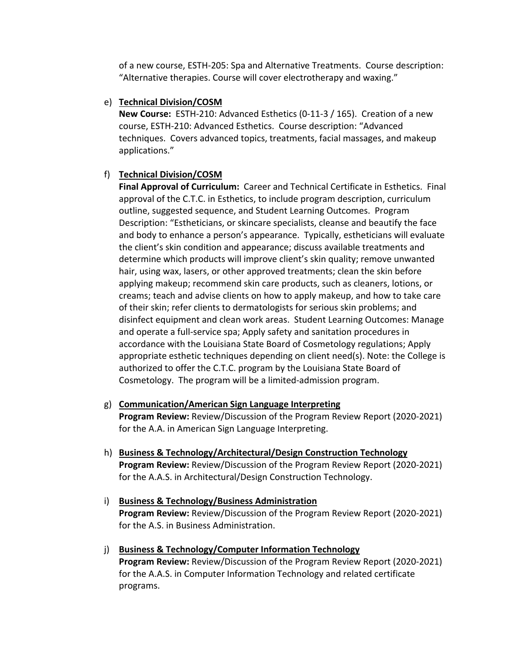of a new course, ESTH‐205: Spa and Alternative Treatments. Course description: "Alternative therapies. Course will cover electrotherapy and waxing."

# e) **Technical Division/COSM**

**New Course:** ESTH‐210: Advanced Esthetics (0‐11‐3 / 165). Creation of a new course, ESTH‐210: Advanced Esthetics. Course description: "Advanced techniques. Covers advanced topics, treatments, facial massages, and makeup applications."

# f) **Technical Division/COSM**

**Final Approval of Curriculum:** Career and Technical Certificate in Esthetics. Final approval of the C.T.C. in Esthetics, to include program description, curriculum outline, suggested sequence, and Student Learning Outcomes. Program Description: "Estheticians, or skincare specialists, cleanse and beautify the face and body to enhance a person's appearance. Typically, estheticians will evaluate the client's skin condition and appearance; discuss available treatments and determine which products will improve client's skin quality; remove unwanted hair, using wax, lasers, or other approved treatments; clean the skin before applying makeup; recommend skin care products, such as cleaners, lotions, or creams; teach and advise clients on how to apply makeup, and how to take care of their skin; refer clients to dermatologists for serious skin problems; and disinfect equipment and clean work areas. Student Learning Outcomes: Manage and operate a full‐service spa; Apply safety and sanitation procedures in accordance with the Louisiana State Board of Cosmetology regulations; Apply appropriate esthetic techniques depending on client need(s). Note: the College is authorized to offer the C.T.C. program by the Louisiana State Board of Cosmetology. The program will be a limited‐admission program.

- g) **Communication/American Sign Language Interpreting Program Review:** Review/Discussion of the Program Review Report (2020‐2021) for the A.A. in American Sign Language Interpreting.
- h) **Business & Technology/Architectural/Design Construction Technology Program Review:** Review/Discussion of the Program Review Report (2020‐2021) for the A.A.S. in Architectural/Design Construction Technology.
- i) **Business & Technology/Business Administration Program Review:** Review/Discussion of the Program Review Report (2020‐2021) for the A.S. in Business Administration.
- j) **Business & Technology/Computer Information Technology Program Review:** Review/Discussion of the Program Review Report (2020‐2021) for the A.A.S. in Computer Information Technology and related certificate programs.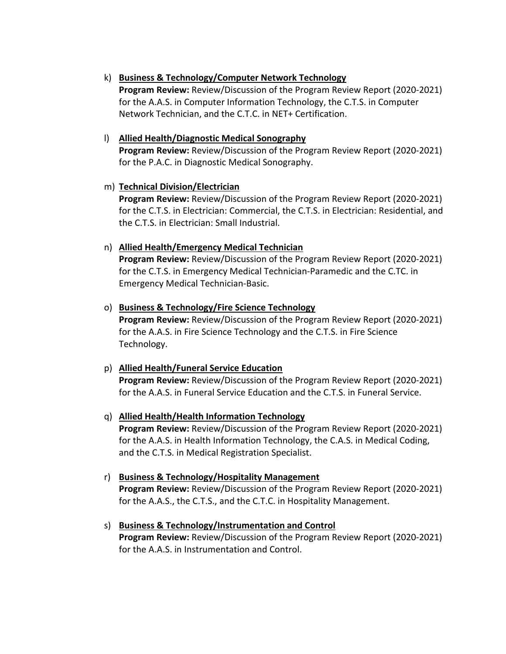# k) **Business & Technology/Computer Network Technology**

**Program Review:** Review/Discussion of the Program Review Report (2020‐2021) for the A.A.S. in Computer Information Technology, the C.T.S. in Computer Network Technician, and the C.T.C. in NET+ Certification.

# l) **Allied Health/Diagnostic Medical Sonography**

**Program Review:** Review/Discussion of the Program Review Report (2020‐2021) for the P.A.C. in Diagnostic Medical Sonography.

# m) **Technical Division/Electrician**

**Program Review:** Review/Discussion of the Program Review Report (2020‐2021) for the C.T.S. in Electrician: Commercial, the C.T.S. in Electrician: Residential, and the C.T.S. in Electrician: Small Industrial.

# n) **Allied Health/Emergency Medical Technician**

**Program Review:** Review/Discussion of the Program Review Report (2020‐2021) for the C.T.S. in Emergency Medical Technician‐Paramedic and the C.TC. in Emergency Medical Technician‐Basic.

# o) **Business & Technology/Fire Science Technology**

**Program Review:** Review/Discussion of the Program Review Report (2020‐2021) for the A.A.S. in Fire Science Technology and the C.T.S. in Fire Science Technology.

# p) **Allied Health/Funeral Service Education**

**Program Review:** Review/Discussion of the Program Review Report (2020‐2021) for the A.A.S. in Funeral Service Education and the C.T.S. in Funeral Service.

# q) **Allied Health/Health Information Technology**

**Program Review:** Review/Discussion of the Program Review Report (2020‐2021) for the A.A.S. in Health Information Technology, the C.A.S. in Medical Coding, and the C.T.S. in Medical Registration Specialist.

r) **Business & Technology/Hospitality Management Program Review:** Review/Discussion of the Program Review Report (2020‐2021)

for the A.A.S., the C.T.S., and the C.T.C. in Hospitality Management.

# s) **Business & Technology/Instrumentation and Control**

**Program Review:** Review/Discussion of the Program Review Report (2020‐2021) for the A.A.S. in Instrumentation and Control.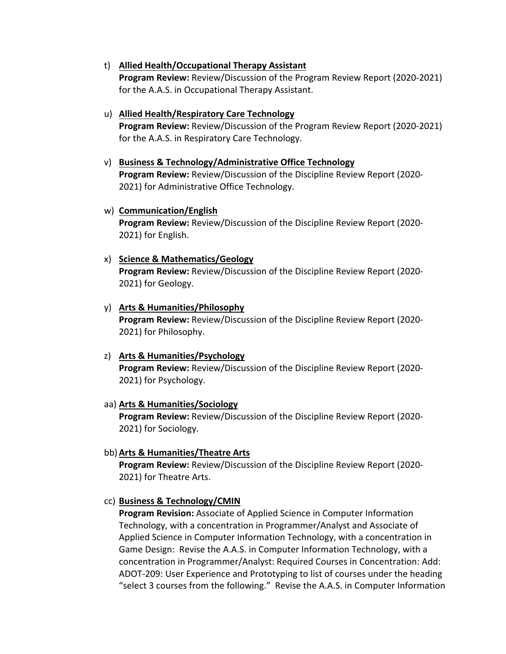- t) **Allied Health/Occupational Therapy Assistant Program Review:** Review/Discussion of the Program Review Report (2020‐2021) for the A.A.S. in Occupational Therapy Assistant.
- u) **Allied Health/Respiratory Care Technology Program Review:** Review/Discussion of the Program Review Report (2020‐2021) for the A.A.S. in Respiratory Care Technology.
- v) **Business & Technology/Administrative Office Technology Program Review:** Review/Discussion of the Discipline Review Report (2020‐ 2021) for Administrative Office Technology.
- w) **Communication/English Program Review:** Review/Discussion of the Discipline Review Report (2020‐ 2021) for English.
- x) **Science & Mathematics/Geology**

**Program Review:** Review/Discussion of the Discipline Review Report (2020‐ 2021) for Geology.

## y) **Arts & Humanities/Philosophy**

**Program Review:** Review/Discussion of the Discipline Review Report (2020‐ 2021) for Philosophy.

#### z) **Arts & Humanities/Psychology**

**Program Review:** Review/Discussion of the Discipline Review Report (2020‐ 2021) for Psychology.

#### aa) **Arts & Humanities/Sociology**

**Program Review:** Review/Discussion of the Discipline Review Report (2020‐ 2021) for Sociology.

#### bb)**Arts & Humanities/Theatre Arts**

**Program Review:** Review/Discussion of the Discipline Review Report (2020‐ 2021) for Theatre Arts.

#### cc) **Business & Technology/CMIN**

**Program Revision:** Associate of Applied Science in Computer Information Technology, with a concentration in Programmer/Analyst and Associate of Applied Science in Computer Information Technology, with a concentration in Game Design: Revise the A.A.S. in Computer Information Technology, with a concentration in Programmer/Analyst: Required Courses in Concentration: Add: ADOT‐209: User Experience and Prototyping to list of courses under the heading "select 3 courses from the following." Revise the A.A.S. in Computer Information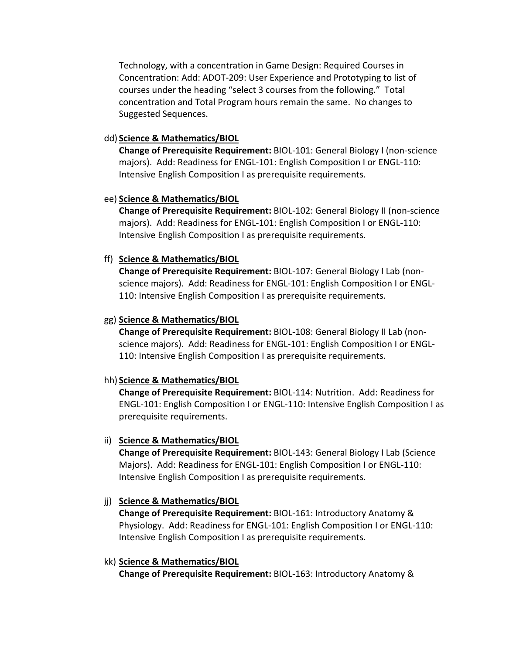Technology, with a concentration in Game Design: Required Courses in Concentration: Add: ADOT‐209: User Experience and Prototyping to list of courses under the heading "select 3 courses from the following." Total concentration and Total Program hours remain the same. No changes to Suggested Sequences.

## dd) **Science & Mathematics/BIOL**

**Change of Prerequisite Requirement:** BIOL‐101: General Biology I (non‐science majors). Add: Readiness for ENGL‐101: English Composition I or ENGL‐110: Intensive English Composition I as prerequisite requirements.

#### ee) **Science & Mathematics/BIOL**

**Change of Prerequisite Requirement:** BIOL‐102: General Biology II (non‐science majors). Add: Readiness for ENGL‐101: English Composition I or ENGL‐110: Intensive English Composition I as prerequisite requirements.

#### ff) **Science & Mathematics/BIOL**

**Change of Prerequisite Requirement:** BIOL‐107: General Biology I Lab (non‐ science majors). Add: Readiness for ENGL‐101: English Composition I or ENGL‐ 110: Intensive English Composition I as prerequisite requirements.

#### gg) **Science & Mathematics/BIOL**

**Change of Prerequisite Requirement:** BIOL‐108: General Biology II Lab (non‐ science majors). Add: Readiness for ENGL‐101: English Composition I or ENGL‐ 110: Intensive English Composition I as prerequisite requirements.

#### hh) **Science & Mathematics/BIOL**

**Change of Prerequisite Requirement:** BIOL‐114: Nutrition. Add: Readiness for ENGL‐101: English Composition I or ENGL‐110: Intensive English Composition I as prerequisite requirements.

#### ii) **Science & Mathematics/BIOL**

**Change of Prerequisite Requirement:** BIOL‐143: General Biology I Lab (Science Majors). Add: Readiness for ENGL‐101: English Composition I or ENGL‐110: Intensive English Composition I as prerequisite requirements.

## jj) **Science & Mathematics/BIOL**

**Change of Prerequisite Requirement:** BIOL‐161: Introductory Anatomy & Physiology. Add: Readiness for ENGL‐101: English Composition I or ENGL‐110: Intensive English Composition I as prerequisite requirements.

#### kk) **Science & Mathematics/BIOL**

**Change of Prerequisite Requirement:** BIOL‐163: Introductory Anatomy &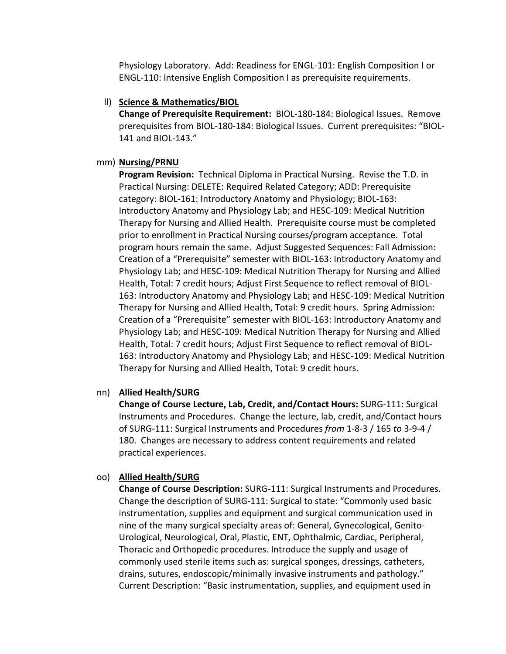Physiology Laboratory. Add: Readiness for ENGL‐101: English Composition I or ENGL‐110: Intensive English Composition I as prerequisite requirements.

## ll) **Science & Mathematics/BIOL**

**Change of Prerequisite Requirement:** BIOL‐180‐184: Biological Issues. Remove prerequisites from BIOL‐180‐184: Biological Issues. Current prerequisites: "BIOL‐ 141 and BIOL‐143."

#### mm) **Nursing/PRNU**

**Program Revision:** Technical Diploma in Practical Nursing. Revise the T.D. in Practical Nursing: DELETE: Required Related Category; ADD: Prerequisite category: BIOL‐161: Introductory Anatomy and Physiology; BIOL‐163: Introductory Anatomy and Physiology Lab; and HESC‐109: Medical Nutrition Therapy for Nursing and Allied Health. Prerequisite course must be completed prior to enrollment in Practical Nursing courses/program acceptance. Total program hours remain the same. Adjust Suggested Sequences: Fall Admission: Creation of a "Prerequisite" semester with BIOL‐163: Introductory Anatomy and Physiology Lab; and HESC‐109: Medical Nutrition Therapy for Nursing and Allied Health, Total: 7 credit hours; Adjust First Sequence to reflect removal of BIOL‐ 163: Introductory Anatomy and Physiology Lab; and HESC‐109: Medical Nutrition Therapy for Nursing and Allied Health, Total: 9 credit hours. Spring Admission: Creation of a "Prerequisite" semester with BIOL‐163: Introductory Anatomy and Physiology Lab; and HESC‐109: Medical Nutrition Therapy for Nursing and Allied Health, Total: 7 credit hours; Adjust First Sequence to reflect removal of BIOL‐ 163: Introductory Anatomy and Physiology Lab; and HESC‐109: Medical Nutrition Therapy for Nursing and Allied Health, Total: 9 credit hours.

## nn) **Allied Health/SURG**

**Change of Course Lecture, Lab, Credit, and/Contact Hours:** SURG‐111: Surgical Instruments and Procedures. Change the lecture, lab, credit, and/Contact hours of SURG‐111: Surgical Instruments and Procedures *from* 1‐8‐3 / 165 *to* 3‐9‐4 / 180. Changes are necessary to address content requirements and related practical experiences.

## oo) **Allied Health/SURG**

**Change of Course Description:** SURG‐111: Surgical Instruments and Procedures. Change the description of SURG‐111: Surgical to state: "Commonly used basic instrumentation, supplies and equipment and surgical communication used in nine of the many surgical specialty areas of: General, Gynecological, Genito‐ Urological, Neurological, Oral, Plastic, ENT, Ophthalmic, Cardiac, Peripheral, Thoracic and Orthopedic procedures. Introduce the supply and usage of commonly used sterile items such as: surgical sponges, dressings, catheters, drains, sutures, endoscopic/minimally invasive instruments and pathology." Current Description: "Basic instrumentation, supplies, and equipment used in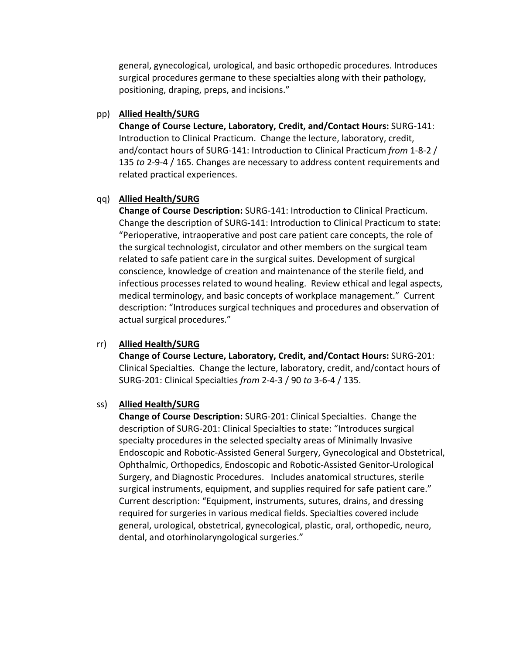general, gynecological, urological, and basic orthopedic procedures. Introduces surgical procedures germane to these specialties along with their pathology, positioning, draping, preps, and incisions."

## pp) **Allied Health/SURG**

**Change of Course Lecture, Laboratory, Credit, and/Contact Hours:** SURG‐141: Introduction to Clinical Practicum. Change the lecture, laboratory, credit, and/contact hours of SURG‐141: Introduction to Clinical Practicum *from* 1‐8‐2 / 135 *to* 2‐9‐4 / 165. Changes are necessary to address content requirements and related practical experiences.

## qq) **Allied Health/SURG**

**Change of Course Description:** SURG‐141: Introduction to Clinical Practicum. Change the description of SURG‐141: Introduction to Clinical Practicum to state: "Perioperative, intraoperative and post care patient care concepts, the role of the surgical technologist, circulator and other members on the surgical team related to safe patient care in the surgical suites. Development of surgical conscience, knowledge of creation and maintenance of the sterile field, and infectious processes related to wound healing. Review ethical and legal aspects, medical terminology, and basic concepts of workplace management." Current description: "Introduces surgical techniques and procedures and observation of actual surgical procedures."

## rr) **Allied Health/SURG**

**Change of Course Lecture, Laboratory, Credit, and/Contact Hours:** SURG‐201: Clinical Specialties. Change the lecture, laboratory, credit, and/contact hours of SURG‐201: Clinical Specialties *from* 2‐4‐3 / 90 *to* 3‐6‐4 / 135.

## ss) **Allied Health/SURG**

**Change of Course Description:** SURG‐201: Clinical Specialties. Change the description of SURG‐201: Clinical Specialties to state: "Introduces surgical specialty procedures in the selected specialty areas of Minimally Invasive Endoscopic and Robotic‐Assisted General Surgery, Gynecological and Obstetrical, Ophthalmic, Orthopedics, Endoscopic and Robotic‐Assisted Genitor‐Urological Surgery, and Diagnostic Procedures. Includes anatomical structures, sterile surgical instruments, equipment, and supplies required for safe patient care." Current description: "Equipment, instruments, sutures, drains, and dressing required for surgeries in various medical fields. Specialties covered include general, urological, obstetrical, gynecological, plastic, oral, orthopedic, neuro, dental, and otorhinolaryngological surgeries."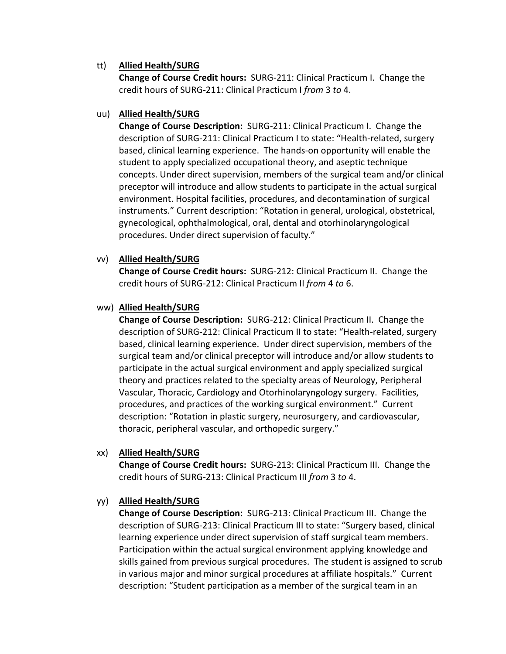## tt) **Allied Health/SURG**

**Change of Course Credit hours:** SURG‐211: Clinical Practicum I. Change the credit hours of SURG‐211: Clinical Practicum I *from* 3 *to* 4.

## uu) **Allied Health/SURG**

**Change of Course Description:** SURG‐211: Clinical Practicum I. Change the description of SURG‐211: Clinical Practicum I to state: "Health‐related, surgery based, clinical learning experience. The hands‐on opportunity will enable the student to apply specialized occupational theory, and aseptic technique concepts. Under direct supervision, members of the surgical team and/or clinical preceptor will introduce and allow students to participate in the actual surgical environment. Hospital facilities, procedures, and decontamination of surgical instruments." Current description: "Rotation in general, urological, obstetrical, gynecological, ophthalmological, oral, dental and otorhinolaryngological procedures. Under direct supervision of faculty."

## vv) **Allied Health/SURG**

**Change of Course Credit hours:** SURG‐212: Clinical Practicum II. Change the credit hours of SURG‐212: Clinical Practicum II *from* 4 *to* 6.

## ww) **Allied Health/SURG**

**Change of Course Description:** SURG‐212: Clinical Practicum II. Change the description of SURG‐212: Clinical Practicum II to state: "Health‐related, surgery based, clinical learning experience. Under direct supervision, members of the surgical team and/or clinical preceptor will introduce and/or allow students to participate in the actual surgical environment and apply specialized surgical theory and practices related to the specialty areas of Neurology, Peripheral Vascular, Thoracic, Cardiology and Otorhinolaryngology surgery. Facilities, procedures, and practices of the working surgical environment." Current description: "Rotation in plastic surgery, neurosurgery, and cardiovascular, thoracic, peripheral vascular, and orthopedic surgery."

## xx) **Allied Health/SURG**

**Change of Course Credit hours:** SURG‐213: Clinical Practicum III. Change the credit hours of SURG‐213: Clinical Practicum III *from* 3 *to* 4.

# yy) **Allied Health/SURG**

**Change of Course Description:** SURG‐213: Clinical Practicum III. Change the description of SURG‐213: Clinical Practicum III to state: "Surgery based, clinical learning experience under direct supervision of staff surgical team members. Participation within the actual surgical environment applying knowledge and skills gained from previous surgical procedures. The student is assigned to scrub in various major and minor surgical procedures at affiliate hospitals." Current description: "Student participation as a member of the surgical team in an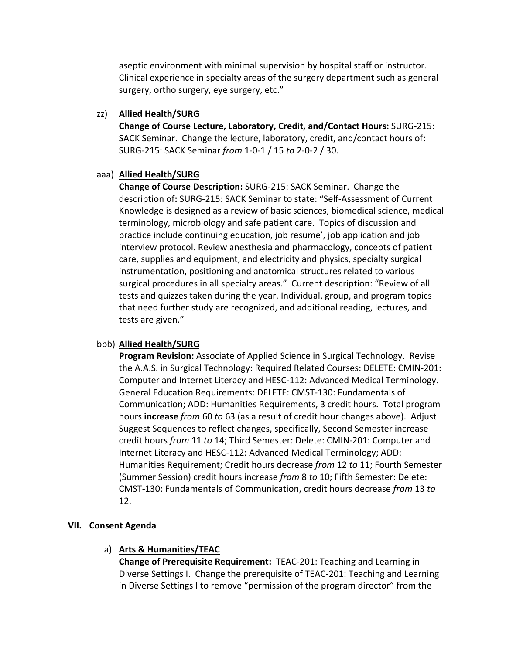aseptic environment with minimal supervision by hospital staff or instructor. Clinical experience in specialty areas of the surgery department such as general surgery, ortho surgery, eye surgery, etc."

## zz) **Allied Health/SURG**

**Change of Course Lecture, Laboratory, Credit, and/Contact Hours:** SURG‐215: SACK Seminar. Change the lecture, laboratory, credit, and/contact hours of**:** SURG‐215: SACK Seminar *from* 1‐0‐1 / 15 *to* 2‐0‐2 / 30.

## aaa) **Allied Health/SURG**

**Change of Course Description:** SURG‐215: SACK Seminar. Change the description of**:** SURG‐215: SACK Seminar to state: "Self‐Assessment of Current Knowledge is designed as a review of basic sciences, biomedical science, medical terminology, microbiology and safe patient care. Topics of discussion and practice include continuing education, job resume', job application and job interview protocol. Review anesthesia and pharmacology, concepts of patient care, supplies and equipment, and electricity and physics, specialty surgical instrumentation, positioning and anatomical structures related to various surgical procedures in all specialty areas." Current description: "Review of all tests and quizzes taken during the year. Individual, group, and program topics that need further study are recognized, and additional reading, lectures, and tests are given."

## bbb) **Allied Health/SURG**

**Program Revision:** Associate of Applied Science in Surgical Technology. Revise the A.A.S. in Surgical Technology: Required Related Courses: DELETE: CMIN‐201: Computer and Internet Literacy and HESC‐112: Advanced Medical Terminology. General Education Requirements: DELETE: CMST‐130: Fundamentals of Communication; ADD: Humanities Requirements, 3 credit hours. Total program hours **increase** *from* 60 *to* 63 (as a result of credit hour changes above). Adjust Suggest Sequences to reflect changes, specifically, Second Semester increase credit hours *from* 11 *to* 14; Third Semester: Delete: CMIN‐201: Computer and Internet Literacy and HESC‐112: Advanced Medical Terminology; ADD: Humanities Requirement; Credit hours decrease *from* 12 *to* 11; Fourth Semester (Summer Session) credit hours increase *from* 8 *to* 10; Fifth Semester: Delete: CMST‐130: Fundamentals of Communication, credit hours decrease *from* 13 *to* 12.

## **VII. Consent Agenda**

## a) **Arts & Humanities/TEAC**

**Change of Prerequisite Requirement:** TEAC‐201: Teaching and Learning in Diverse Settings I. Change the prerequisite of TEAC‐201: Teaching and Learning in Diverse Settings I to remove "permission of the program director" from the